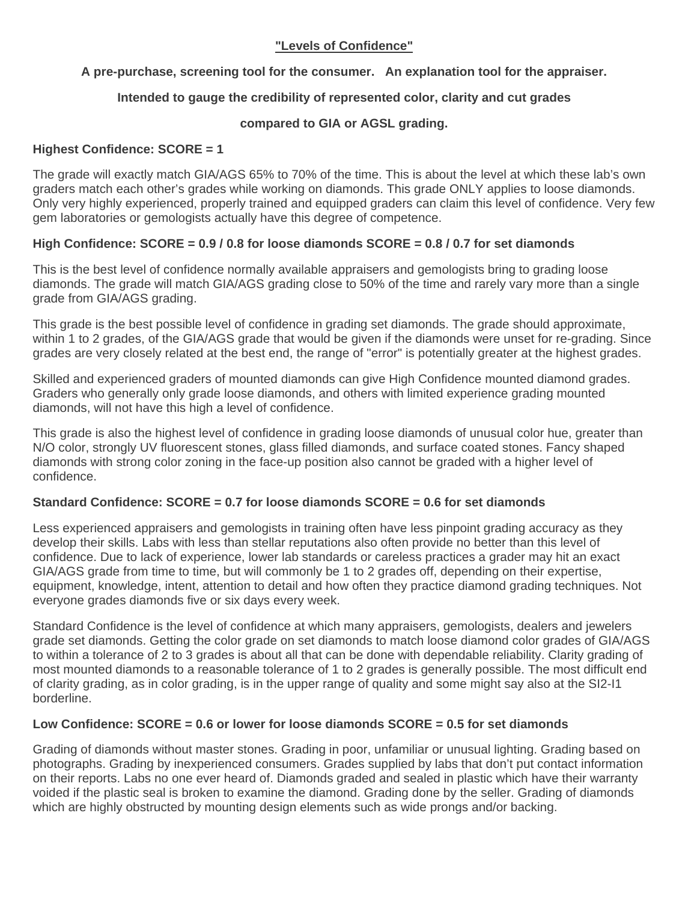# **"Levels of Confidence"**

# **A pre-purchase, screening tool for the consumer. An explanation tool for the appraiser.**

# **Intended to gauge the credibility of represented color, clarity and cut grades**

# **compared to GIA or AGSL grading.**

### **Highest Confidence: SCORE = 1**

The grade will exactly match GIA/AGS 65% to 70% of the time. This is about the level at which these lab's own graders match each other's grades while working on diamonds. This grade ONLY applies to loose diamonds. Only very highly experienced, properly trained and equipped graders can claim this level of confidence. Very few gem laboratories or gemologists actually have this degree of competence.

# **High Confidence: SCORE = 0.9 / 0.8 for loose diamonds SCORE = 0.8 / 0.7 for set diamonds**

This is the best level of confidence normally available appraisers and gemologists bring to grading loose diamonds. The grade will match GIA/AGS grading close to 50% of the time and rarely vary more than a single grade from GIA/AGS grading.

This grade is the best possible level of confidence in grading set diamonds. The grade should approximate, within 1 to 2 grades, of the GIA/AGS grade that would be given if the diamonds were unset for re-grading. Since grades are very closely related at the best end, the range of "error" is potentially greater at the highest grades.

Skilled and experienced graders of mounted diamonds can give High Confidence mounted diamond grades. Graders who generally only grade loose diamonds, and others with limited experience grading mounted diamonds, will not have this high a level of confidence.

This grade is also the highest level of confidence in grading loose diamonds of unusual color hue, greater than N/O color, strongly UV fluorescent stones, glass filled diamonds, and surface coated stones. Fancy shaped diamonds with strong color zoning in the face-up position also cannot be graded with a higher level of confidence.

# **Standard Confidence: SCORE = 0.7 for loose diamonds SCORE = 0.6 for set diamonds**

Less experienced appraisers and gemologists in training often have less pinpoint grading accuracy as they develop their skills. Labs with less than stellar reputations also often provide no better than this level of confidence. Due to lack of experience, lower lab standards or careless practices a grader may hit an exact GIA/AGS grade from time to time, but will commonly be 1 to 2 grades off, depending on their expertise, equipment, knowledge, intent, attention to detail and how often they practice diamond grading techniques. Not everyone grades diamonds five or six days every week.

Standard Confidence is the level of confidence at which many appraisers, gemologists, dealers and jewelers grade set diamonds. Getting the color grade on set diamonds to match loose diamond color grades of GIA/AGS to within a tolerance of 2 to 3 grades is about all that can be done with dependable reliability. Clarity grading of most mounted diamonds to a reasonable tolerance of 1 to 2 grades is generally possible. The most difficult end of clarity grading, as in color grading, is in the upper range of quality and some might say also at the SI2-I1 borderline.

# **Low Confidence: SCORE = 0.6 or lower for loose diamonds SCORE = 0.5 for set diamonds**

Grading of diamonds without master stones. Grading in poor, unfamiliar or unusual lighting. Grading based on photographs. Grading by inexperienced consumers. Grades supplied by labs that don't put contact information on their reports. Labs no one ever heard of. Diamonds graded and sealed in plastic which have their warranty voided if the plastic seal is broken to examine the diamond. Grading done by the seller. Grading of diamonds which are highly obstructed by mounting design elements such as wide prongs and/or backing.